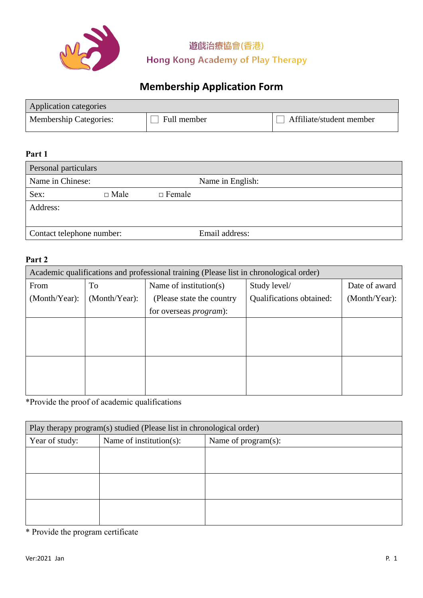

遊戲治療協會(香港) **Hong Kong Academy of Play Therapy** 

# **Membership Application Form**

| Application categories        |             |                          |
|-------------------------------|-------------|--------------------------|
| <b>Membership Categories:</b> | Full member | Affiliate/student member |

### **Part 1**

| Personal particulars      |             |               |                  |
|---------------------------|-------------|---------------|------------------|
| Name in Chinese:          |             |               | Name in English: |
| Sex:                      | $\Box$ Male | $\Box$ Female |                  |
| Address:                  |             |               |                  |
|                           |             |               |                  |
| Contact telephone number: |             |               | Email address:   |

#### **Part 2**

| Academic qualifications and professional training (Please list in chronological order) |               |                                |                          |               |
|----------------------------------------------------------------------------------------|---------------|--------------------------------|--------------------------|---------------|
| From                                                                                   | To            | Name of institution(s)         | Study level/             | Date of award |
| (Month/Year):                                                                          | (Month/Year): | (Please state the country)     | Qualifications obtained: | (Month/Year): |
|                                                                                        |               | for overseas <i>program</i> ): |                          |               |
|                                                                                        |               |                                |                          |               |
|                                                                                        |               |                                |                          |               |
|                                                                                        |               |                                |                          |               |
|                                                                                        |               |                                |                          |               |
|                                                                                        |               |                                |                          |               |
|                                                                                        |               |                                |                          |               |

\*Provide the proof of academic qualifications

| Play therapy program(s) studied (Please list in chronological order) |                         |                     |  |
|----------------------------------------------------------------------|-------------------------|---------------------|--|
| Year of study:                                                       | Name of institution(s): | Name of program(s): |  |
|                                                                      |                         |                     |  |
|                                                                      |                         |                     |  |
|                                                                      |                         |                     |  |
|                                                                      |                         |                     |  |
|                                                                      |                         |                     |  |
|                                                                      |                         |                     |  |

\* Provide the program certificate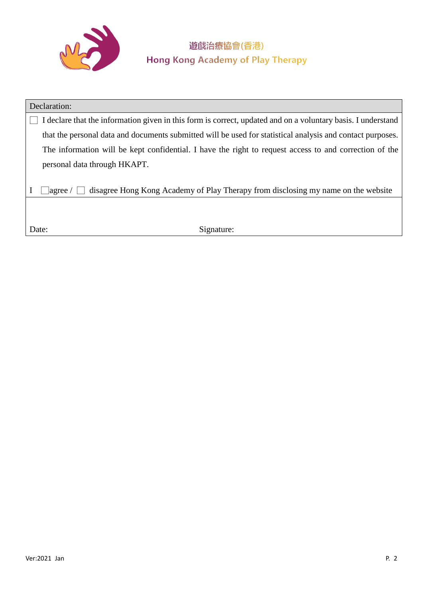

## 遊戲治療協會(香港) **Hong Kong Academy of Play Therapy**

| Declaration:                                                                                                 |
|--------------------------------------------------------------------------------------------------------------|
| I declare that the information given in this form is correct, updated and on a voluntary basis. I understand |
| that the personal data and documents submitted will be used for statistical analysis and contact purposes.   |
| The information will be kept confidential. I have the right to request access to and correction of the       |
| personal data through HKAPT.                                                                                 |
|                                                                                                              |
| disagree Hong Kong Academy of Play Therapy from disclosing my name on the website<br> agree /                |
|                                                                                                              |
|                                                                                                              |
| Signature:<br>Date:                                                                                          |
|                                                                                                              |